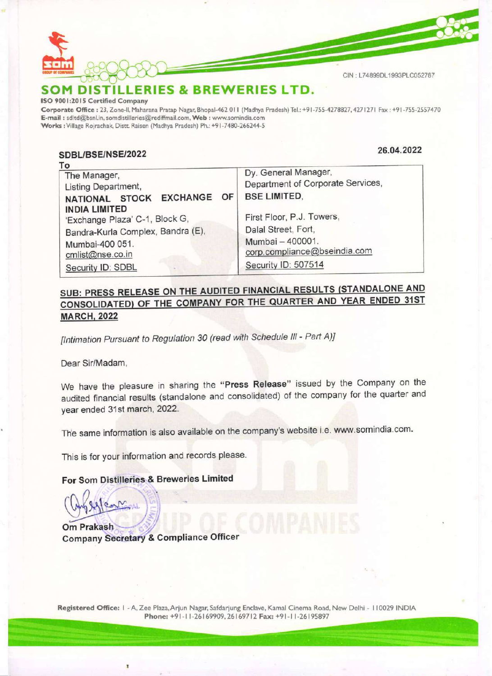

ISO 9001:2015 Certified Company

Corporate Office : 23, Zone-ll, Maharana Pratap Nagar, Bhopal-462 011 (Madhya Pradesh) Tel.: +91-755-4278827, 4271271 Fax : +91-755-SOM DISTILLERIES & BREWERIES LID.<br>ISO 9001:2015 Certified Company<br>Corporate Office : 23, Zone-II, Maharana Pratap Nagar, Bhopal-462 011 (Madhya Pradesh) Tel.: +91-755-4278827, 4271271 Fax : +91-755<br>E-mail : sdltd@bsnl.in, Works : Village Rojrachak, Distt. Raisen (Madhya Pradesh) Ph.: +91-7480-266244-5 M DISTILLERIES & BREWE<br>
MOISTILLERIES & BREWE<br>
001:2015 Certified Company<br>
and the company<br>
is a sided@bsnl.in, somdistilleries@rediffmail.com, Web : www.somin<br>
is : Village Rojrachak, Dist. Raisen (Madhya Pradesh) Ph.: +9

## SDBL/BSE/NSE/2022 26.04.2022

| Dy. General Manager,<br>Department of Corporate Services,<br><b>BSE LIMITED,</b> |
|----------------------------------------------------------------------------------|
| First Floor, P.J. Towers,<br>Dalal Street, Fort,                                 |
| Mumbai - 400001.<br>corp.compliance@bseindia.com<br>Security ID: 507514          |
|                                                                                  |

### SUB: PRESS RELEASE ON THE AUDITED FINANCIAL RESULTS (STANDALONE AND CONSOLIDATED) OF THE COMPANY FOR THE QUARTER AND YEAR ENDED 31ST MARCH, 2022

[Intimation Pursuant to Regulation 30 (read with Schedule III - Part A)]

Dear Sir/Madam,

We have the pleasure in sharing the "Press Release" issued by the Company on the audited financial results (standalone and consolidated) of the company for the quarter and year ended 31st march, 2022.

The same information is also available on the company's website i.e. www.somindia.com.

This is for your information and records please.

For Som Distilleries & Breweries Limited

Om Prakash  $\overline{ }$ 

Company Secretary & Compliance Officer

Registered Office: I - A, Zee Plaza, Arjun Nagar, Safdarjung Enclave, Kamal Cinema Road, New Delhi - I 10029 INDIA Registered Office: I - A, Zee Plaza, Arjun Nagar, Safdarjung Enclave, Kamal Cinema Road, New Delhi - 110029 INDIA<br>Phone: +91-11-26169909, 26169712 Fax: +91-11-26195897